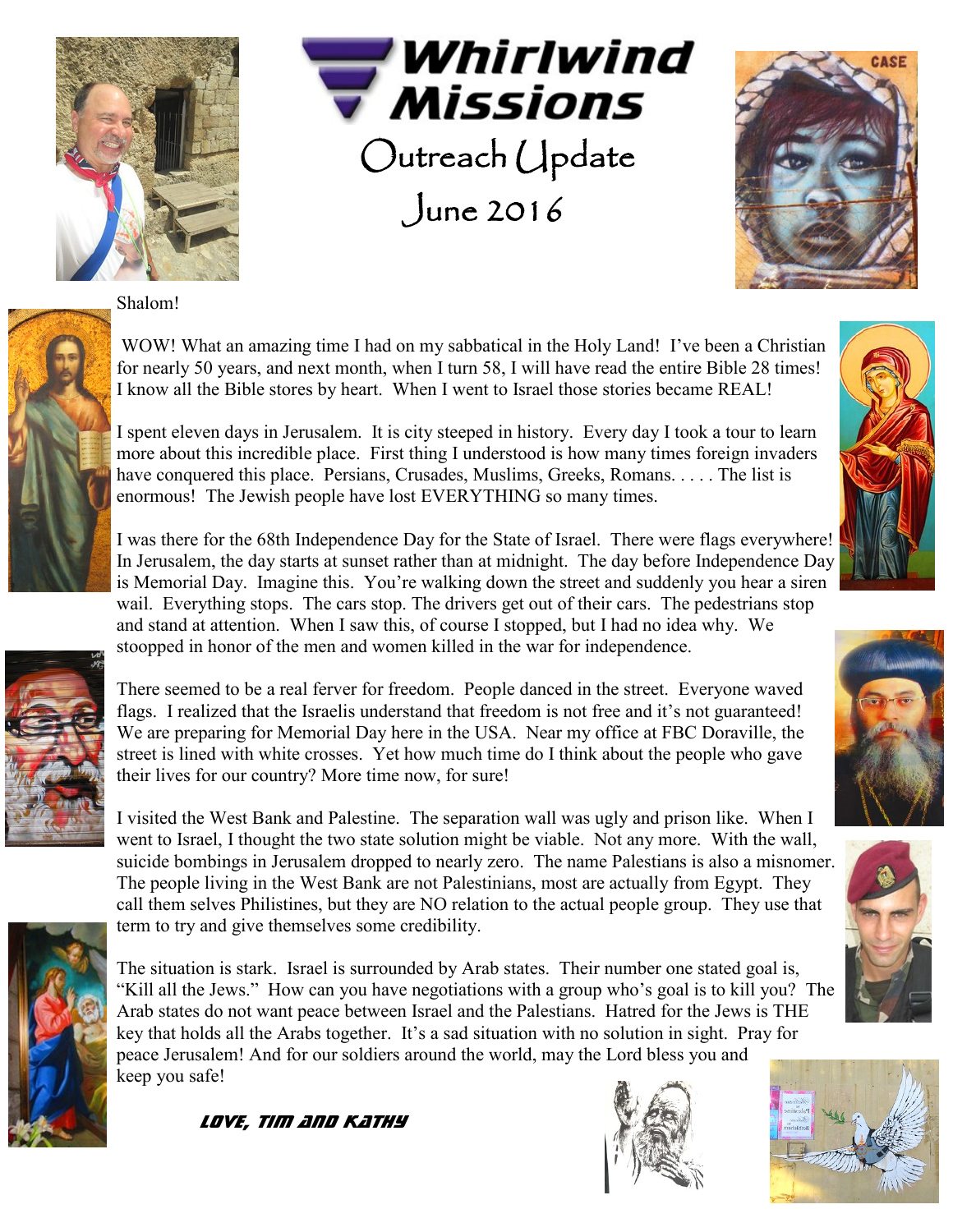

Whirlwind **Missions**  Outreach Update June 2016



Shalom!



WOW! What an amazing time I had on my sabbatical in the Holy Land! I've been a Christian for nearly 50 years, and next month, when I turn 58, I will have read the entire Bible 28 times! I know all the Bible stores by heart. When I went to Israel those stories became REAL!

I spent eleven days in Jerusalem. It is city steeped in history. Every day I took a tour to learn more about this incredible place. First thing I understood is how many times foreign invaders have conquered this place. Persians, Crusades, Muslims, Greeks, Romans. . . . . The list is enormous! The Jewish people have lost EVERYTHING so many times.

I was there for the 68th Independence Day for the State of Israel. There were flags everywhere! In Jerusalem, the day starts at sunset rather than at midnight. The day before Independence Day is Memorial Day. Imagine this. You're walking down the street and suddenly you hear a siren wail. Everything stops. The cars stop. The drivers get out of their cars. The pedestrians stop and stand at attention. When I saw this, of course I stopped, but I had no idea why. We stoopped in honor of the men and women killed in the war for independence.



There seemed to be a real ferver for freedom. People danced in the street. Everyone waved flags. I realized that the Israelis understand that freedom is not free and it's not guaranteed! We are preparing for Memorial Day here in the USA. Near my office at FBC Doraville, the street is lined with white crosses. Yet how much time do I think about the people who gave their lives for our country? More time now, for sure!

I visited the West Bank and Palestine. The separation wall was ugly and prison like. When I went to Israel, I thought the two state solution might be viable. Not any more. With the wall, suicide bombings in Jerusalem dropped to nearly zero. The name Palestians is also a misnomer. The people living in the West Bank are not Palestinians, most are actually from Egypt. They call them selves Philistines, but they are NO relation to the actual people group. They use that term to try and give themselves some credibility.